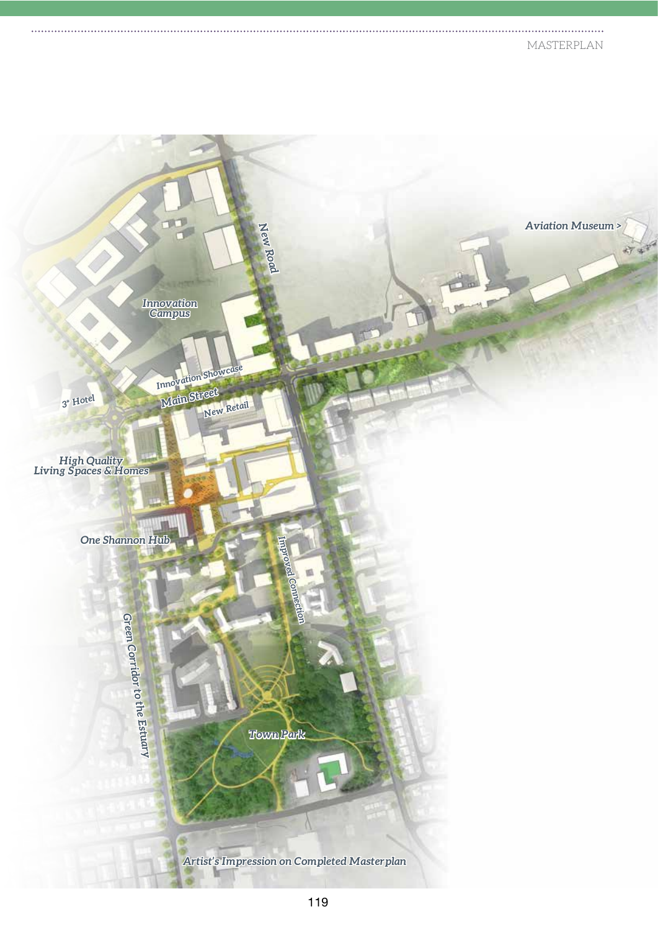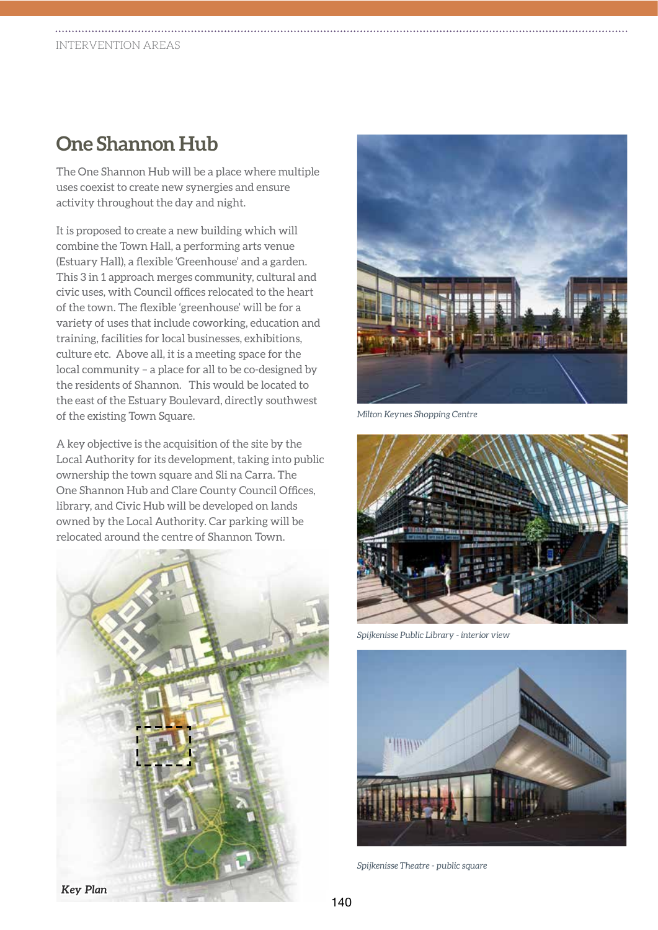## **One Shannon Hub**

The One Shannon Hub will be a place where multiple uses coexist to create new synergies and ensure activity throughout the day and night.

It is proposed to create a new building which will combine the Town Hall, a performing arts venue (Estuary Hall), a flexible 'Greenhouse' and a garden. This 3 in 1 approach merges community, cultural and civic uses, with Council offices relocated to the heart of the town. The flexible 'greenhouse' will be for a variety of uses that include coworking, education and training, facilities for local businesses, exhibitions, culture etc. Above all, it is a meeting space for the local community – a place for all to be co-designed by the residents of Shannon. This would be located to the east of the Estuary Boulevard, directly southwest of the existing Town Square.

A key objective is the acquisition of the site by the Local Authority for its development, taking into public ownership the town square and Sli na Carra. The One Shannon Hub and Clare County Council Offices, library, and Civic Hub will be developed on lands owned by the Local Authority. Car parking will be relocated around the centre of Shannon Town.





*Milton Keynes Shopping Centre*



*Spijkenisse Public Library - interior view*



*Spijkenisse Theatre - public square*

*Key Plan*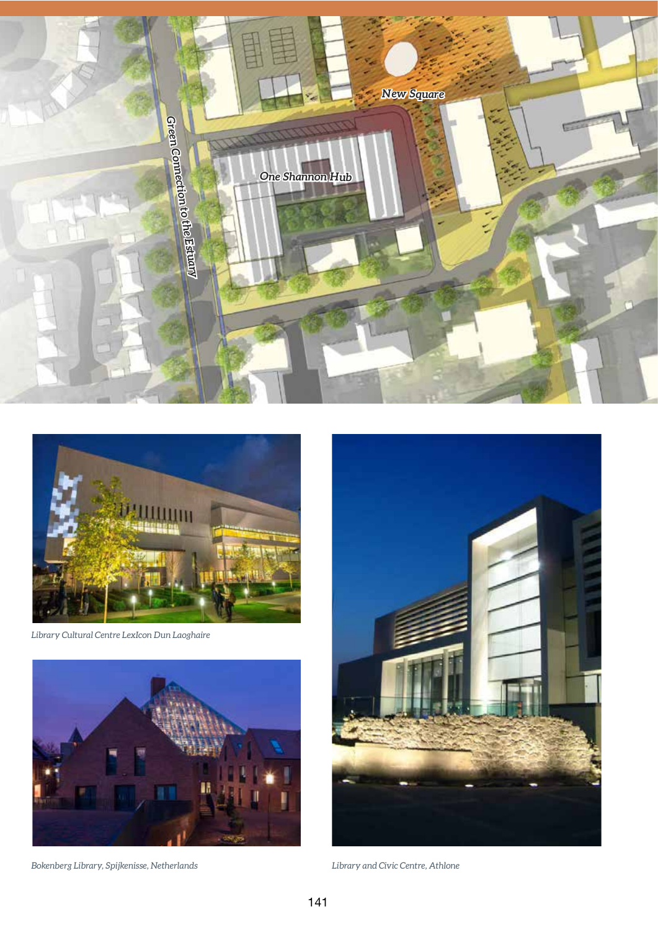



*Library Cultural Centre LexIcon Dun Laoghaire*



*Bokenberg Library, Spijkenisse, Netherlands Library and Civic Centre, Athlone*